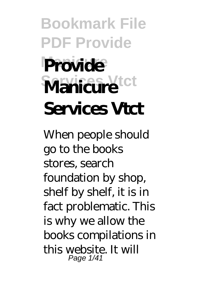# **Bookmark File PDF Provide Provide Services Vtct Manicure Services Vtct**

When people should go to the books stores, search foundation by shop, shelf by shelf, it is in fact problematic. This is why we allow the books compilations in this website. It will Page 1/41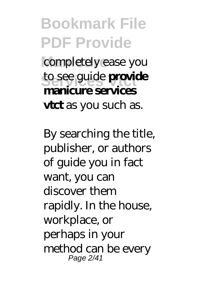#### **Bookmark File PDF Provide** completely ease you to see guide **provide manicure services vtct** as you such as.

By searching the title, publisher, or authors of guide you in fact want, you can discover them rapidly. In the house, workplace, or perhaps in your method can be every Page 2/41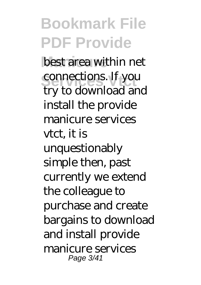**Bookmark File PDF Provide** best area within net connections. If you try to download and install the provide manicure services vtct, it is unquestionably simple then, past currently we extend the colleague to purchase and create bargains to download and install provide manicure services Page 3/41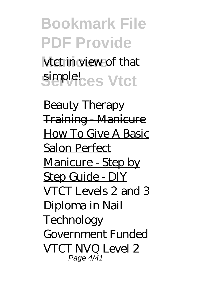**Bookmark File PDF Provide** vtct in view of that simple<sup>l</sup>ces Vtct

Beauty Therapy **Training Manicure** How To Give A Basic Salon Perfect Manicure - Step by Step Guide - DIY *VTCT Levels 2 and 3 Diploma in Nail Technology Government Funded VTCT NVQ Level 2* Page 4/41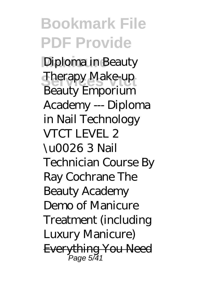**Bookmark File PDF Provide Manicure** *Diploma in Beauty Sherapy Make-up* Beauty Emporium Academy --- Diploma in Nail Technology *VTCT LEVEL 2 \u0026 3 Nail Technician Course By Ray Cochrane The Beauty Academy Demo of Manicure Treatment (including Luxury Manicure)* Everything You Need Page 5/41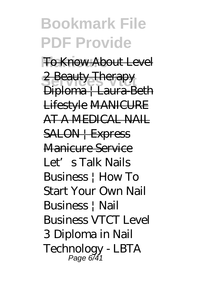#### **Bookmark File PDF Provide To Know About Level** 2 Beauty Therapy Diploma | Laura-Beth Lifestyle MANICURE AT A MEDICAL NAIL SALON | Express Manicure Service Let's Talk Nails Business | How To Start Your Own Nail Business | Nail Business VTCT Level 3 Diploma in Nail

Technology - LBTA Page 6/41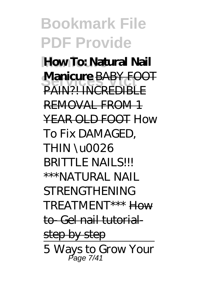**Bookmark File PDF Provide How To: Natural Nail Manicure BABY FOOT** PAIN?! INCREDIBLE REMOVAL FROM 1 YEAR OLD FOOT *How To Fix DAMAGED, THIN \u0026* **BRITTLE NAILS!!!** *\*\*\*NATURAL NAIL STRENGTHENING TREATMENT\*\*\** How to- Gel nail tutorialstep by step 5 Ways to Grow Your Page 7/41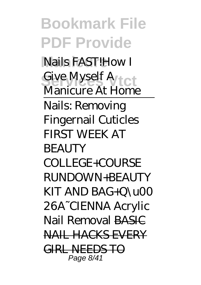**Bookmark File PDF Provide Manicure** Nails FAST!*How I Give Myself A*<br>*Manianus At H Manicure At Home* Nails: Removing Fingernail Cuticles FIRST WEEK AT **BEAUTY** COLLEGE+COURSE RUNDOWN+BEAUTY KIT AND BAG+Q\u00 26A~CIENNA *Acrylic Nail Removal* BASIC NAIL HACKS EVERY GIRL NEEDS TO Page 8/41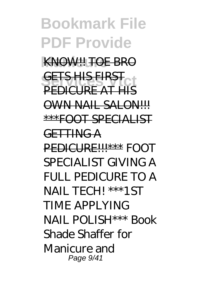#### **Bookmark File PDF Provide** KNOW!! TOE BRO **GETS HIS FIRST** PEDICURE AT HIS OWN NAIL SALON!!! \*\*\*FOOT SPECIALIST GETTING A PEDICURE!!!\*\*\* *FOOT SPECIALIST GIVING A FULL PEDICURE TO A NAIL TECH! \*\*\*1ST TIME APPLYING NAIL POLISH\*\*\* Book Shade Shaffer for Manicure and* Page 9/41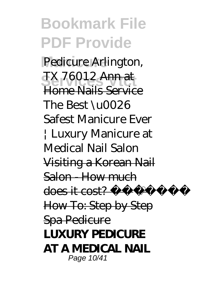**Bookmark File PDF Provide Manicure** *Pedicure Arlington, SEX 76012 Ann at* Home Nails Service *The Best \u0026 Safest Manicure Ever | Luxury Manicure at Medical Nail Salon* Visiting a Korean Nail Salon - How much does it cost? How To: Step by Step Spa Pedicure **LUXURY PEDICURE AT A MEDICAL NAIL** Page 10/41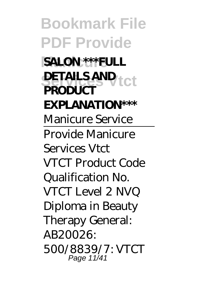**Bookmark File PDF Provide SALON \*\*\* FULL DETAILS AND PRODUCT EXPLANATION\*\*\*** *Manicure Service* Provide Manicure Services Vtct VTCT Product Code Qualification No. VTCT Level 2 NVQ Diploma in Beauty Therapy General: AB20026: 500/8839/7: VTCT Page 11/41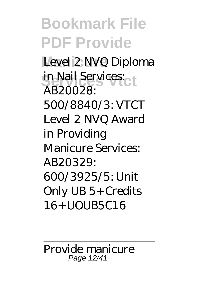**Bookmark File PDF Provide** Level 2 NVQ Diploma in Nail Services: AB20028: 500/8840/3: VTCT Level 2 NVQ Award in Providing Manicure Services: AB20329: 600/3925/5: Unit Only UB 5+ Credits 16+ UOUB5C16

Provide manicure Page 12/41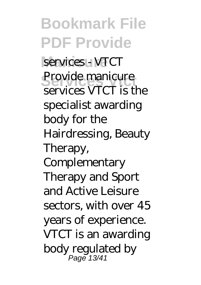**Bookmark File PDF Provide** services - VTCT Provide manicure services VTCT is the specialist awarding body for the Hairdressing, Beauty Therapy, **Complementary** Therapy and Sport and Active Leisure sectors, with over 45 years of experience. VTCT is an awarding body regulated by Page 13/41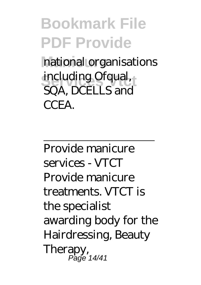# **Bookmark File PDF Provide**

national organisations **including Ofqual,**<br>
SOA **DCELLS** SQA, DCELLS and **CCEA** 

Provide manicure services - VTCT Provide manicure treatments. VTCT is the specialist awarding body for the Hairdressing, Beauty Therapy, Page 14/41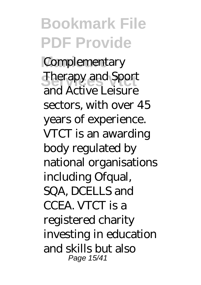**Bookmark File PDF Provide** Complementary **Services** Therapy and Sport and Active Leisure sectors, with over 45 years of experience. VTCT is an awarding body regulated by national organisations including Ofqual, SQA, DCELLS and CCEA. VTCT is a registered charity investing in education and skills but also Page 15/41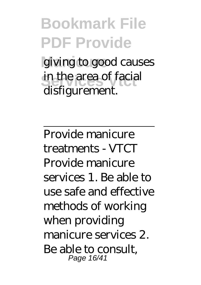**Bookmark File PDF Provide** giving to good causes in the area of facial disfigurement.

Provide manicure treatments - VTCT Provide manicure services 1. Be able to use safe and effective methods of working when providing manicure services 2. Be able to consult, Page 16/41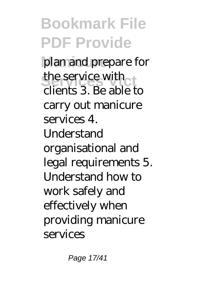**Bookmark File PDF Provide** plan and prepare for the service with clients 3. Be able to carry out manicure services 4. **Understand** organisational and legal requirements 5. Understand how to work safely and effectively when providing manicure services

Page 17/41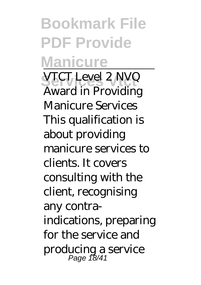**Bookmark File PDF Provide Manicure Services Vtct** VTCT Level 2 NVQ Award in Providing Manicure Services This qualification is about providing manicure services to clients. It covers consulting with the client, recognising any contraindications, preparing for the service and producing a service Page 18/41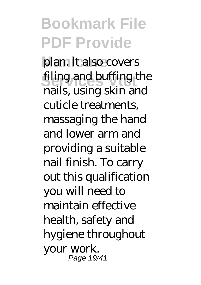#### **Bookmark File PDF Provide** plan. It also covers filing and buffing the nails, using skin and cuticle treatments, massaging the hand and lower arm and providing a suitable nail finish. To carry out this qualification you will need to maintain effective health, safety and hygiene throughout your work. Page 19/41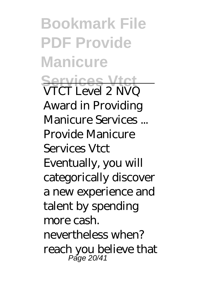**Bookmark File PDF Provide Manicure Services Vtct** VTCT Level 2 NVQ Award in Providing Manicure Services ... Provide Manicure Services Vtct Eventually, you will categorically discover a new experience and talent by spending more cash. nevertheless when? reach you believe that Page 20/41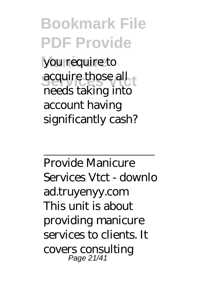**Bookmark File PDF Provide** you require to acquire those all needs taking into account having significantly cash?

Provide Manicure Services Vtct - downlo ad.truyenyy.com This unit is about providing manicure services to clients. It covers consulting Page 21/41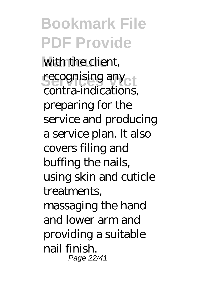**Bookmark File PDF Provide** with the client, recognising any contra-indications, preparing for the service and producing a service plan. It also covers filing and buffing the nails, using skin and cuticle treatments, massaging the hand and lower arm and providing a suitable nail finish. Page 22/41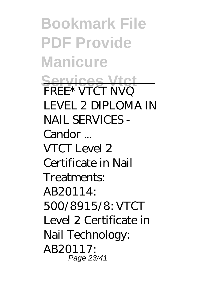**Bookmark File PDF Provide Manicure Services Vtct** FREE\* VTCT NVQ LEVEL 2 DIPLOMA IN NAIL SERVICES - Candor ... VTCT Level 2 Certificate in Nail Treatments:  $AB20114$ 500/8915/8: VTCT Level 2 Certificate in Nail Technology: AB20117: Page 23/41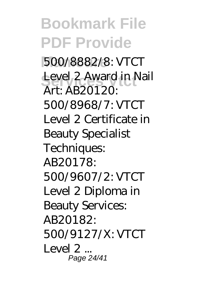**Bookmark File PDF Provide Manicure** 500/8882/8: VTCT Level 2 Award in Nail Art: AB20120: 500/8968/7: VTCT Level 2 Certificate in Beauty Specialist Techniques: AB20178: 500/9607/2: VTCT Level 2 Diploma in Beauty Services: AB20182: 500/9127/X: VTCT Level  $2<sub>...</sub>$ Page 24/41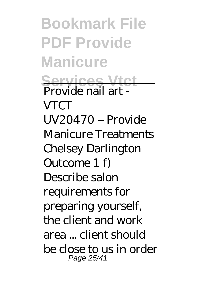**Bookmark File PDF Provide Manicure Services Vtct** Provide nail art - **VTCT** UV20470 – Provide Manicure Treatments Chelsey Darlington Outcome 1 f) Describe salon requirements for preparing yourself, the client and work area ... client should be close to us in order Page 25/41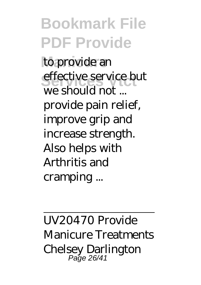**Bookmark File PDF Provide** to provide an effective service but we should not ... provide pain relief, improve grip and increase strength. Also helps with Arthritis and cramping ...

UV20470 Provide Manicure Treatments Chelsey Darlington Page 26/41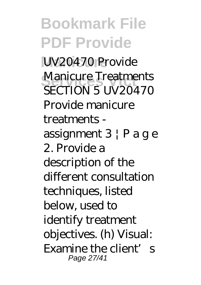**Bookmark File PDF Provide** UV20470 Provide **Manicure Treatments**<br>SECTION E **UN2047**C SECTION 5 UV20470 Provide manicure treatments assignment  $3 \nvert P$  a g e 2. Provide a description of the different consultation techniques, listed below, used to identify treatment objectives. (h) Visual: Examine the client's Page 27/41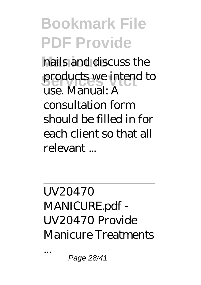#### **Bookmark File PDF Provide** nails and discuss the products we intend to use. Manual: A consultation form should be filled in for each client so that all relevant ...

UV20470 MANICURE.pdf - UV20470 Provide Manicure Treatments

Page 28/41

...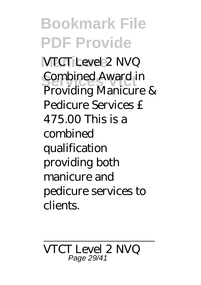**Bookmark File PDF Provide VTCT** Level 2 NVQ **Combined Award in** Providing Manicure & Pedicure Services £ 475.00 This is a combined qualification providing both manicure and pedicure services to clients.

# VTCT Level 2 NVQ Page 29/41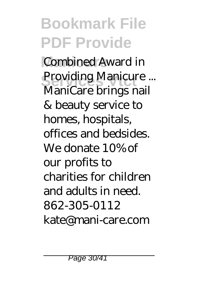# **Bookmark File PDF Provide**

**Combined Award in** Providing Manicure ...<br>ManiCaus hyperspail ManiCare brings nail & beauty service to homes, hospitals, offices and bedsides. We donate 10% of our profits to charities for children and adults in need. 862-305-0112 kate@mani-care.com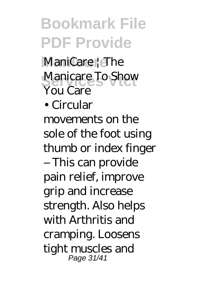## **Bookmark File PDF Provide**

ManiCare<sup>1</sup> The Manicare To Show You Care

• Circular

movements on the sole of the foot using thumb or index finger – This can provide pain relief, improve grip and increase strength. Also helps with Arthritis and cramping. Loosens tight muscles and Page 31/41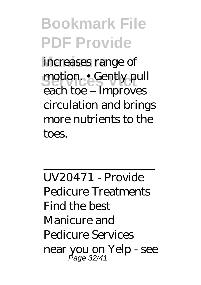**Bookmark File PDF Provide** increases range of motion. • Gently pull each toe – Improves circulation and brings more nutrients to the toes.

UV20471 - Provide Pedicure Treatments Find the best Manicure and Pedicure Services near you on Yelp - see Page 32/41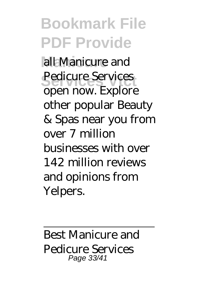**Bookmark File PDF Provide Manicure** all Manicure and Pedicure Services open now. Explore other popular Beauty & Spas near you from over 7 million businesses with over 142 million reviews and opinions from Yelpers.

Best Manicure and Pedicure Services Page 33/41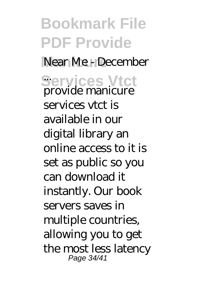**Bookmark File PDF Provide** Near Me - December **Services Vtct** ... provide manicure services vtct is available in our digital library an online access to it is set as public so you can download it instantly. Our book servers saves in multiple countries, allowing you to get the most less latency Page 34/41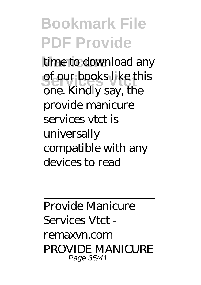### **Bookmark File PDF Provide**

time to download any of our books like this one. Kindly say, the provide manicure services vtct is universally compatible with any devices to read

Provide Manicure Services Vtct remaxvn.com PROVIDE MANICURE Page 35/41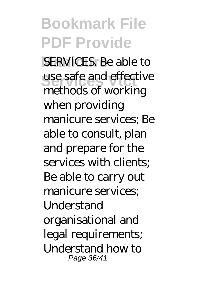### **Bookmark File PDF Provide**

**SERVICES**. Be able to use safe and effective methods of working when providing manicure services; Be able to consult, plan and prepare for the services with clients: Be able to carry out manicure services; **Understand** organisational and legal requirements; Understand how to Page 36/41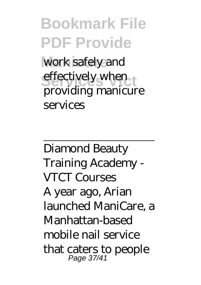**Bookmark File PDF Provide** work safely and effectively when providing manicure services

Diamond Beauty Training Academy - VTCT Courses A year ago, Arian launched ManiCare, a Manhattan-based mobile nail service that caters to people Page 37/41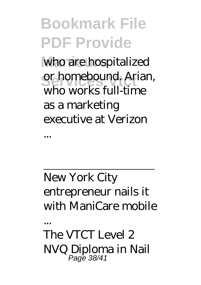**Bookmark File PDF Provide** who are hospitalized or homebound. Arian, who works full-time as a marketing executive at Verizon

New York City entrepreneur nails it with ManiCare mobile

...

...

The VTCT Level 2 NVQ Diploma in Nail Page 38/41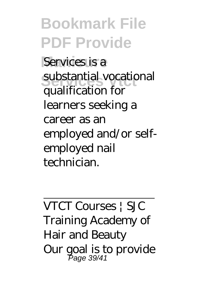**Bookmark File PDF Provide** Services is a substantial vocational qualification for learners seeking a career as an employed and/or selfemployed nail technician.

VTCT Courses | SJC Training Academy of Hair and Beauty Our goal is to provide Page 39/41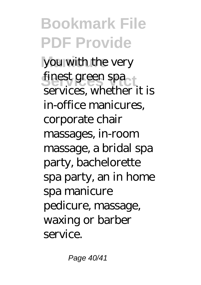**Bookmark File PDF Provide** you with the very finest green spa services, whether it is in-office manicures, corporate chair massages, in-room massage, a bridal spa party, bachelorette spa party, an in home spa manicure pedicure, massage, waxing or barber service.